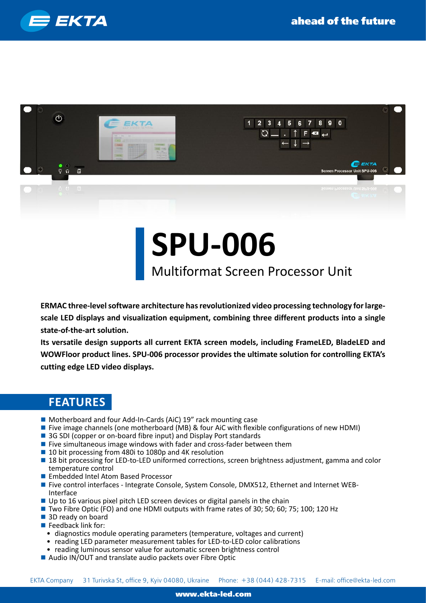



## **SPU-006**

## Multiformat Screen Processor Unit

**ERMAC three-level software architecture has revolutionized video processing technology for largescale LED displays and visualization equipment, combining three different products into a single state-of-the-art solution.**

**Its versatile design supports all current EKTA screen models, including FrameLED, BladeLED and WOWFloor product lines. SPU-006 processor provides the ultimate solution for controlling EKTA's cutting edge LED video displays.**

## **FEATURES**

- Motherboard and four Add-In-Cards (AiC) 19" rack mounting case
- **Five image channels (one motherboard (MB) & four AiC with flexible configurations of new HDMI)**
- 3G SDI (copper or on-board fibre input) and Display Port standards
- **Five simultaneous image windows with fader and cross-fader between them**
- 10 bit processing from 480i to 1080p and 4K resolution
- **18 bit processing for LED-to-LED uniformed corrections, screen brightness adjustment, gamma and color** temperature control
- **E** Embedded Intel Atom Based Processor
- Five control interfaces Integrate Console, System Console, DMX512, Ethernet and Internet WEB-Interface
- Up to 16 various pixel pitch LED screen devices or digital panels in the chain
- Two Fibre Optic (FO) and one HDMI outputs with frame rates of 30; 50; 60; 75; 100; 120 Hz
- 3D ready on board
- $\blacksquare$  Feedback link for:
	- diagnostics module operating parameters (temperature, voltages and current)
- reading LED parameter measurement tables for LED-to-LED color calibrations
- reading luminous sensor value for automatic screen brightness control
- Audio IN/OUT and translate audio packets over Fibre Optic